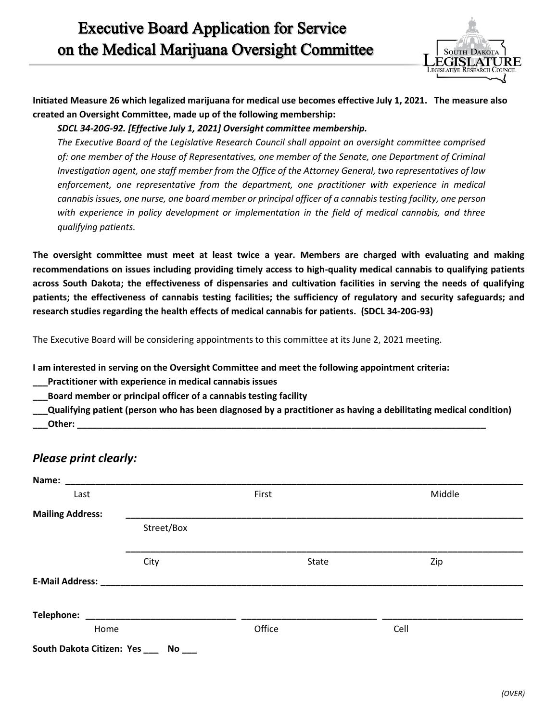

**Initiated Measure 26 which legalized marijuana for medical use becomes effective July 1, 2021. The measure also created an Oversight Committee, made up of the following membership:** 

I

## *SDCL 34-20G-92. [Effective July 1, 2021] Oversight committee membership.*

*The Executive Board of the Legislative Research Council shall appoint an oversight committee comprised of: one member of the House of Representatives, one member of the Senate, one Department of Criminal Investigation agent, one staff member from the Office of the Attorney General, two representatives of law enforcement, one representative from the department, one practitioner with experience in medical cannabis issues, one nurse, one board member or principal officer of a cannabis testing facility, one person with experience in policy development or implementation in the field of medical cannabis, and three qualifying patients.* 

**The oversight committee must meet at least twice a year. Members are charged with evaluating and making recommendations on issues including providing timely access to high-quality medical cannabis to qualifying patients across South Dakota; the effectiveness of dispensaries and cultivation facilities in serving the needs of qualifying patients; the effectiveness of cannabis testing facilities; the sufficiency of regulatory and security safeguards; and research studies regarding the health effects of medical cannabis for patients. (SDCL 34-20G-93)**

The Executive Board will be considering appointments to this committee at its June 2, 2021 meeting.

**I am interested in serving on the Oversight Committee and meet the following appointment criteria:**

**\_\_\_Practitioner with experience in medical cannabis issues**

**\_\_\_Board member or principal officer of a cannabis testing facility**

**\_\_\_Qualifying patient (person who has been diagnosed by a practitioner as having a debilitating medical condition) \_\_\_Other: \_\_\_\_\_\_\_\_\_\_\_\_\_\_\_\_\_\_\_\_\_\_\_\_\_\_\_\_\_\_\_\_\_\_\_\_\_\_\_\_\_\_\_\_\_\_\_\_\_\_\_\_\_\_\_\_\_\_\_\_\_\_\_\_\_\_\_\_\_\_\_\_\_\_\_\_\_\_\_\_\_\_**

## *Please print clearly:*

| Name:                         |            |        |       |      |        |
|-------------------------------|------------|--------|-------|------|--------|
| Last                          |            | First  |       |      | Middle |
| <b>Mailing Address:</b>       |            |        |       |      |        |
|                               | Street/Box |        |       |      |        |
|                               | City       |        | State |      | Zip    |
|                               |            |        |       |      |        |
|                               |            |        |       |      |        |
| Home                          |            | Office |       | Cell |        |
| South Dakota Citizen: Yes ___ |            |        |       |      |        |